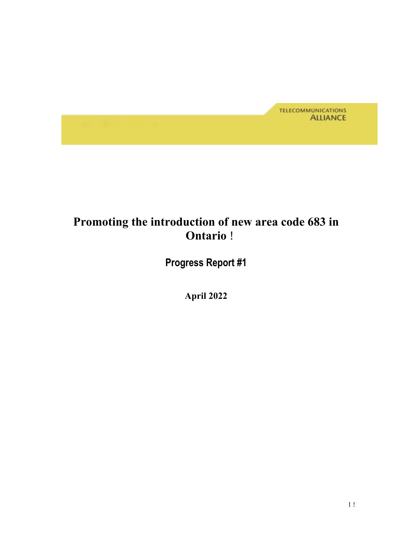

## **Promoting the introduction of new area code 683 in Ontario** !

 **Progress Report #1** 

 **April 2022**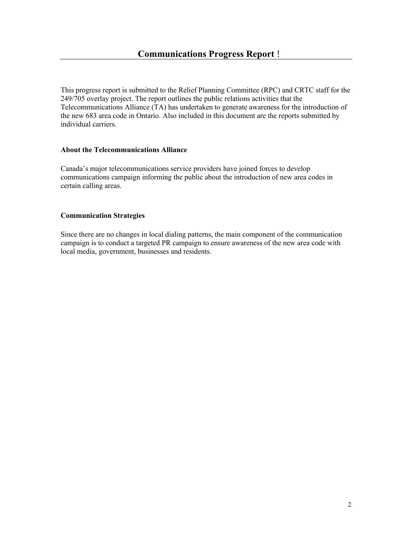This progress report is submitted to the Relief Planning Committee (RPC) and CRTC staff for the 249/705 overlay project. The report outlines the public relations activities that the Telecommunications Alliance (TA) has undertaken to generate awareness for the introduction of the new 683 area code in Ontario. Also included in this document are the reports submitted by individual carriers.

#### **About the Telecommunications Alliance**

 Canada's major telecommunications service providers have joined forces to develop communications campaign informing the public about the introduction of new area codes in certain calling areas.

#### **Communication Strategies**

 Since there are no changes in local dialing patterns, the main component of the communication local media, government, businesses and residents. campaign is to conduct a targeted PR campaign to ensure awareness of the new area code with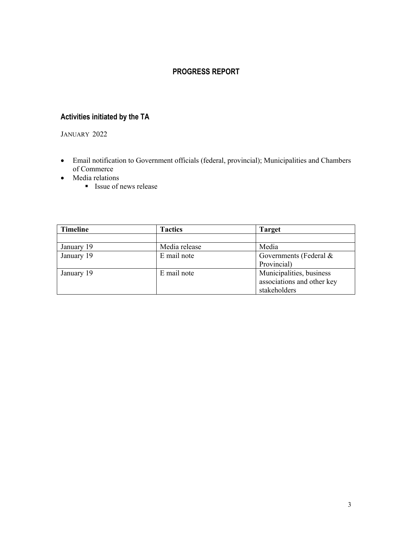## **PROGRESS REPORT**

## **Activities initiated by the TA**

JANUARY 2022

- • Email notification to Government officials (federal, provincial); Municipalities and Chambers of Commerce
- Media relations
	- **Issue of news release**

| <b>Timeline</b> | <b>Tactics</b> | <b>Target</b>              |
|-----------------|----------------|----------------------------|
|                 |                |                            |
| January 19      | Media release  | Media                      |
| January 19      | E mail note    | Governments (Federal &     |
|                 |                | Provincial)                |
| January 19      | E mail note    | Municipalities, business   |
|                 |                | associations and other key |
|                 |                | stakeholders               |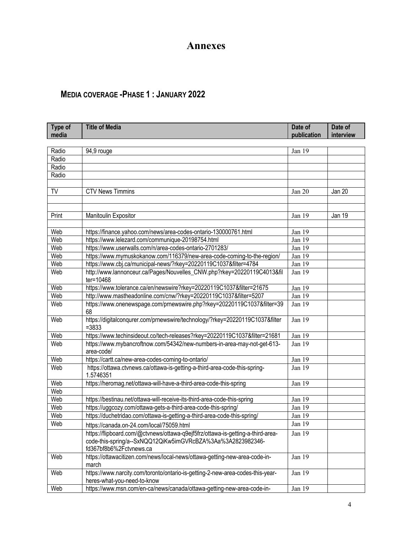## **Annexes**

## **MEDIA COVERAGE -PHASE 1 : JANUARY 2022**

| Type of<br>media | <b>Title of Media</b>                                                                                                                                                     | Date of<br>publication | Date of<br>interview |
|------------------|---------------------------------------------------------------------------------------------------------------------------------------------------------------------------|------------------------|----------------------|
|                  |                                                                                                                                                                           |                        |                      |
| Radio            | 94,9 rouge                                                                                                                                                                | Jan 19                 |                      |
| Radio            |                                                                                                                                                                           |                        |                      |
| Radio            |                                                                                                                                                                           |                        |                      |
| Radio            |                                                                                                                                                                           |                        |                      |
|                  |                                                                                                                                                                           |                        |                      |
| TV               | <b>CTV News Timmins</b>                                                                                                                                                   | Jan 20                 | Jan 20               |
|                  |                                                                                                                                                                           |                        |                      |
| Print            | Manitoulin Expositor                                                                                                                                                      | Jan 19                 | Jan 19               |
|                  |                                                                                                                                                                           |                        |                      |
| Web              | https://finance.yahoo.com/news/area-codes-ontario-130000761.html                                                                                                          | Jan 19                 |                      |
| Web              | https://www.lelezard.com/communique-20198754.html                                                                                                                         | Jan 19                 |                      |
| Web              | https://www.userwalls.com/n/area-codes-ontario-2701283/                                                                                                                   | Jan 19                 |                      |
| Web              | https://www.mymuskokanow.com/116379/new-area-code-coming-to-the-region/                                                                                                   | Jan 19                 |                      |
| Web              | https://www.cbj.ca/municipal-news/?rkey=20220119C1037&filter=4784                                                                                                         | Jan 19                 |                      |
| Web              | http://www.lannonceur.ca/Pages/Nouvelles_CNW.php?rkey=20220119C4013&fil                                                                                                   | Jan 19                 |                      |
|                  | ter=10468                                                                                                                                                                 |                        |                      |
| Web              | https://www.tolerance.ca/en/newswire?rkey=20220119C1037&filter=21675                                                                                                      | Jan 19                 |                      |
| Web              | http://www.mastheadonline.com/cnw/?rkey=20220119C1037&filter=5207                                                                                                         | Jan 19                 |                      |
| Web              | https://www.onenewspage.com/prnewswire.php?rkey=20220119C1037&filter=39<br>68                                                                                             | Jan 19                 |                      |
| Web              | https://digitalconqurer.com/prnewswire/technology/?rkey=20220119C1037&filter<br>$= 3833$                                                                                  | Jan 19                 |                      |
| Web              | https://www.techinsideout.co/tech-releases?rkey=20220119C1037&filter=21681                                                                                                | Jan 19                 |                      |
| Web              | https://www.mybancroftnow.com/54342/new-numbers-in-area-may-not-get-613-<br>area-code/                                                                                    | $\overline{J}$ an 19   |                      |
| Web              | https://cartt.ca/new-area-codes-coming-to-ontario/                                                                                                                        | Jan 19                 |                      |
| Web              | https://ottawa.ctvnews.ca/ottawa-is-getting-a-third-area-code-this-spring-<br>1.5746351                                                                                   | Jan 19                 |                      |
| Web              | https://heromag.net/ottawa-will-have-a-third-area-code-this-spring                                                                                                        | Jan 19                 |                      |
| Web              |                                                                                                                                                                           |                        |                      |
| Web              | https://bestinau.net/ottawa-will-receive-its-third-area-code-this-spring                                                                                                  | Jan 19                 |                      |
| Web              | https://uggcozy.com/ottawa-gets-a-third-area-code-this-spring/                                                                                                            | Jan 19                 |                      |
| Web              | https://duchetridao.com/ottawa-is-getting-a-third-area-code-this-spring/                                                                                                  | Jan 19                 |                      |
| Web              | https://canada.on-24.com/local/75059.html                                                                                                                                 | Jan 19                 |                      |
|                  | https://flipboard.com/@ctvnews/ottawa-q9ejf5frz/ottawa-is-getting-a-third-area-<br>code-this-spring/a--SxNQQ12QiKw5imGVRcBZA%3Aa%3A2823982346-<br>fd367bf8b6%2Fctvnews.ca | Jan 19                 |                      |
| Web              | https://ottawacitizen.com/news/local-news/ottawa-getting-new-area-code-in-<br>march                                                                                       | Jan 19                 |                      |
| Web              | https://www.narcity.com/toronto/ontario-is-getting-2-new-area-codes-this-year-<br>heres-what-you-need-to-know                                                             | Jan 19                 |                      |
| Web              | https://www.msn.com/en-ca/news/canada/ottawa-getting-new-area-code-in-                                                                                                    | Jan 19                 |                      |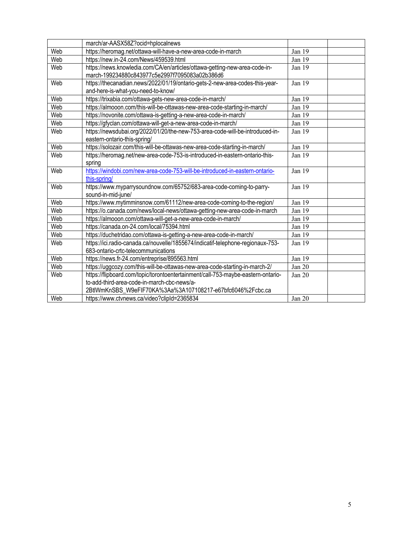|     | march/ar-AASX58Z?ocid=hplocalnews                                                                                                                                                             |        |
|-----|-----------------------------------------------------------------------------------------------------------------------------------------------------------------------------------------------|--------|
| Web | https://heromag.net/ottawa-will-have-a-new-area-code-in-march                                                                                                                                 | Jan 19 |
| Web | https://new.in-24.com/News/459539.html                                                                                                                                                        | Jan 19 |
| Web | https://news.knowledia.com/CA/en/articles/ottawa-getting-new-area-code-in-<br>march-199234880c843977c5e2997f7095083a02b386d6                                                                  | Jan 19 |
| Web | https://thecanadian.news/2022/01/19/ontario-gets-2-new-area-codes-this-year-<br>and-here-is-what-you-need-to-know/                                                                            | Jan 19 |
| Web | https://trixabia.com/ottawa-gets-new-area-code-in-march/                                                                                                                                      | Jan 19 |
| Web | https://almooon.com/this-will-be-ottawas-new-area-code-starting-in-march/                                                                                                                     | Jan 19 |
| Web | https://novonite.com/ottawa-is-getting-a-new-area-code-in-march/                                                                                                                              | Jan 19 |
| Web | https://gfyclan.com/ottawa-will-get-a-new-area-code-in-march/                                                                                                                                 | Jan 19 |
| Web | https://newsdubai.org/2022/01/20/the-new-753-area-code-will-be-introduced-in-<br>eastern-ontario-this-spring/                                                                                 | Jan 19 |
| Web | https://solozair.com/this-will-be-ottawas-new-area-code-starting-in-march/                                                                                                                    | Jan 19 |
| Web | https://heromag.net/new-area-code-753-is-introduced-in-eastern-ontario-this-<br>spring                                                                                                        | Jan 19 |
| Web | https://windobi.com/new-area-code-753-will-be-introduced-in-eastern-ontario-<br>this-spring/                                                                                                  | Jan 19 |
| Web | https://www.myparrysoundnow.com/65752/683-area-code-coming-to-parry-<br>sound-in-mid-june/                                                                                                    | Jan 19 |
| Web | https://www.mytimminsnow.com/61112/new-area-code-coming-to-the-region/                                                                                                                        | Jan 19 |
| Web | https://o.canada.com/news/local-news/ottawa-getting-new-area-code-in-march                                                                                                                    | Jan 19 |
| Web | https://almooon.com/ottawa-will-get-a-new-area-code-in-march/                                                                                                                                 | Jan 19 |
| Web | https://canada.on-24.com/local/75394.html                                                                                                                                                     | Jan 19 |
| Web | https://duchetridao.com/ottawa-is-getting-a-new-area-code-in-march/                                                                                                                           | Jan 19 |
| Web | https://ici.radio-canada.ca/nouvelle/1855674/indicatif-telephone-regionaux-753-<br>683-ontario-crtc-telecommunications                                                                        | Jan 19 |
| Web | https://news.fr-24.com/entreprise/895563.html                                                                                                                                                 | Jan 19 |
| Web | https://uggcozy.com/this-will-be-ottawas-new-area-code-starting-in-march-2/                                                                                                                   | Jan 20 |
| Web | https://flipboard.com/topic/torontoentertainment/call-753-maybe-eastern-ontario-<br>to-add-third-area-code-in-march-cbc-news/a-<br>2BtlWmKnSBS_W9eFIF70KA%3Aa%3A107108217-e67bfc6046%2Fcbc.ca | Jan 20 |
| Web | https://www.ctvnews.ca/video?clipId=2365834                                                                                                                                                   | Jan 20 |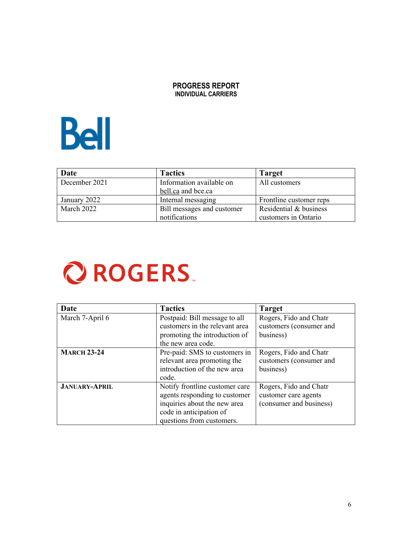#### **PROGRESS REPORT INDIVIDUAL CARRIERS**



| Date          | <b>Tactics</b>             | <b>Target</b>           |
|---------------|----------------------------|-------------------------|
| December 2021 | Information available on   | All customers           |
|               | bell.ca and bce.ca         |                         |
| January 2022  | Internal messaging         | Frontline customer reps |
| March 2022    | Bill messages and customer | Residential & business  |
|               | notifications              | customers in Ontario    |

# **Q ROGERS.**

| Date                 | <b>Tactics</b>                 | <b>Target</b>           |
|----------------------|--------------------------------|-------------------------|
| March 7-April 6      | Postpaid: Bill message to all  | Rogers, Fido and Chatr  |
|                      | customers in the relevant area | customers (consumer and |
|                      | promoting the introduction of  | business)               |
|                      | the new area code.             |                         |
| <b>MARCH 23-24</b>   | Pre-paid: SMS to customers in  | Rogers, Fido and Chatr  |
|                      | relevant area promoting the    | customers (consumer and |
|                      | introduction of the new area   | business)               |
|                      | code.                          |                         |
| <b>JANUARY-APRIL</b> | Notify frontline customer care | Rogers, Fido and Chatr  |
|                      | agents responding to customer  | customer care agents    |
|                      | inquiries about the new area   | (consumer and business) |
|                      | code in anticipation of        |                         |
|                      | questions from customers.      |                         |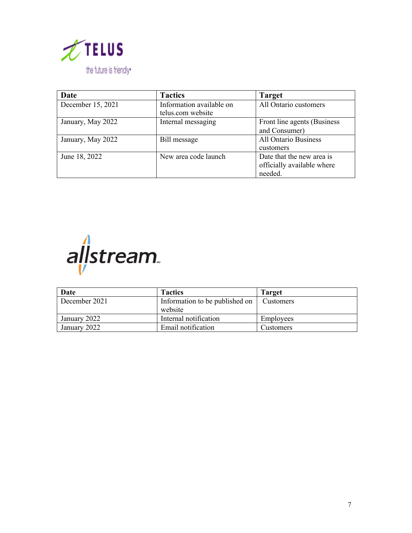

| Date              | <b>Tactics</b>           | <b>Target</b>               |
|-------------------|--------------------------|-----------------------------|
| December 15, 2021 | Information available on | All Ontario customers       |
|                   | telus.com website        |                             |
| January, May 2022 | Internal messaging       | Front line agents (Business |
|                   |                          | and Consumer)               |
| January, May 2022 | Bill message             | <b>All Ontario Business</b> |
|                   |                          | customers                   |
| June 18, 2022     | New area code launch     | Date that the new area is   |
|                   |                          | officially available where  |
|                   |                          | needed.                     |



| Date          | <b>Tactics</b>                            | <b>Target</b>    |
|---------------|-------------------------------------------|------------------|
| December 2021 | Information to be published on<br>website | Customers        |
| January 2022  | Internal notification                     | Employees        |
| January 2022  | Email notification                        | <b>Customers</b> |